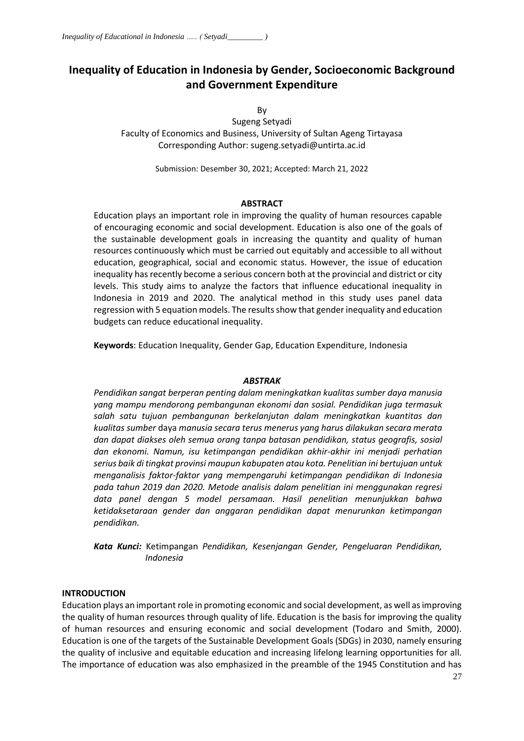# **Inequality of Education in Indonesia by Gender, Socioeconomic Background and Government Expenditure**

By

Sugeng Setyadi Faculty of Economics and Business, University of Sultan Ageng Tirtayasa Corresponding Author: sugeng.setyadi@untirta.ac.id

Submission: Desember 30, 2021; Accepted: March 21, 2022

#### **ABSTRACT**

Education plays an important role in improving the quality of human resources capable of encouraging economic and social development. Education is also one of the goals of the sustainable development goals in increasing the quantity and quality of human resources continuously which must be carried out equitably and accessible to all without education, geographical, social and economic status. However, the issue of education inequality has recently become a serious concern both at the provincial and district or city levels. This study aims to analyze the factors that influence educational inequality in Indonesia in 2019 and 2020. The analytical method in this study uses panel data regression with 5 equation models. The results show that gender inequality and education budgets can reduce educational inequality.

**Keywords**: Education Inequality, Gender Gap, Education Expenditure, Indonesia

#### *ABSTRAK*

*Pendidikan sangat berperan penting dalam meningkatkan kualitas sumber daya manusia yang mampu mendorong pembangunan ekonomi dan sosial. Pendidikan juga termasuk salah satu tujuan pembangunan berkelanjutan dalam meningkatkan kuantitas dan kualitas sumber* daya *manusia secara terus menerus yang harus dilakukan secara merata dan dapat diakses oleh semua orang tanpa batasan pendidikan, status geografis, sosial dan ekonomi. Namun, isu ketimpangan pendidikan akhir-akhir ini menjadi perhatian serius baik di tingkat provinsi maupun kabupaten atau kota. Penelitian ini bertujuan untuk menganalisis faktor-faktor yang mempengaruhi ketimpangan pendidikan di Indonesia pada tahun 2019 dan 2020. Metode analisis dalam penelitian ini menggunakan regresi data panel dengan 5 model persamaan. Hasil penelitian menunjukkan bahwa ketidaksetaraan gender dan anggaran pendidikan dapat menurunkan ketimpangan pendidikan.*

*Kata Kunci:* Ketimpangan *Pendidikan, Kesenjangan Gender, Pengeluaran Pendidikan, Indonesia*

## **INTRODUCTION**

Education plays an important role in promoting economic and social development, as well as improving the quality of human resources through quality of life. Education is the basis for improving the quality of human resources and ensuring economic and social development (Todaro and Smith, 2000). Education is one of the targets of the Sustainable Development Goals (SDGs) in 2030, namely ensuring the quality of inclusive and equitable education and increasing lifelong learning opportunities for all. The importance of education was also emphasized in the preamble of the 1945 Constitution and has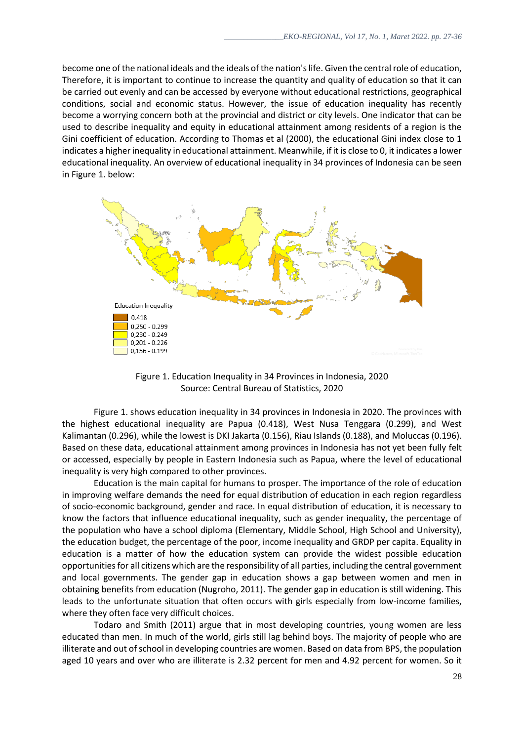become one of the national ideals and the ideals of the nation's life. Given the central role of education, Therefore, it is important to continue to increase the quantity and quality of education so that it can be carried out evenly and can be accessed by everyone without educational restrictions, geographical conditions, social and economic status. However, the issue of education inequality has recently become a worrying concern both at the provincial and district or city levels. One indicator that can be used to describe inequality and equity in educational attainment among residents of a region is the Gini coefficient of education. According to Thomas et al (2000), the educational Gini index close to 1 indicates a higher inequality in educational attainment. Meanwhile, if it is close to 0, it indicates a lower educational inequality. An overview of educational inequality in 34 provinces of Indonesia can be seen in Figure 1. below:



Figure 1. Education Inequality in 34 Provinces in Indonesia, 2020 Source: Central Bureau of Statistics, 2020

Figure 1. shows education inequality in 34 provinces in Indonesia in 2020. The provinces with the highest educational inequality are Papua (0.418), West Nusa Tenggara (0.299), and West Kalimantan (0.296), while the lowest is DKI Jakarta (0.156), Riau Islands (0.188), and Moluccas (0.196). Based on these data, educational attainment among provinces in Indonesia has not yet been fully felt or accessed, especially by people in Eastern Indonesia such as Papua, where the level of educational inequality is very high compared to other provinces.

Education is the main capital for humans to prosper. The importance of the role of education in improving welfare demands the need for equal distribution of education in each region regardless of socio-economic background, gender and race. In equal distribution of education, it is necessary to know the factors that influence educational inequality, such as gender inequality, the percentage of the population who have a school diploma (Elementary, Middle School, High School and University), the education budget, the percentage of the poor, income inequality and GRDP per capita. Equality in education is a matter of how the education system can provide the widest possible education opportunities for all citizens which are the responsibility of all parties, including the central government and local governments. The gender gap in education shows a gap between women and men in obtaining benefits from education (Nugroho, 2011). The gender gap in education is still widening. This leads to the unfortunate situation that often occurs with girls especially from low-income families, where they often face very difficult choices.

Todaro and Smith (2011) argue that in most developing countries, young women are less educated than men. In much of the world, girls still lag behind boys. The majority of people who are illiterate and out of school in developing countries are women. Based on data from BPS, the population aged 10 years and over who are illiterate is 2.32 percent for men and 4.92 percent for women. So it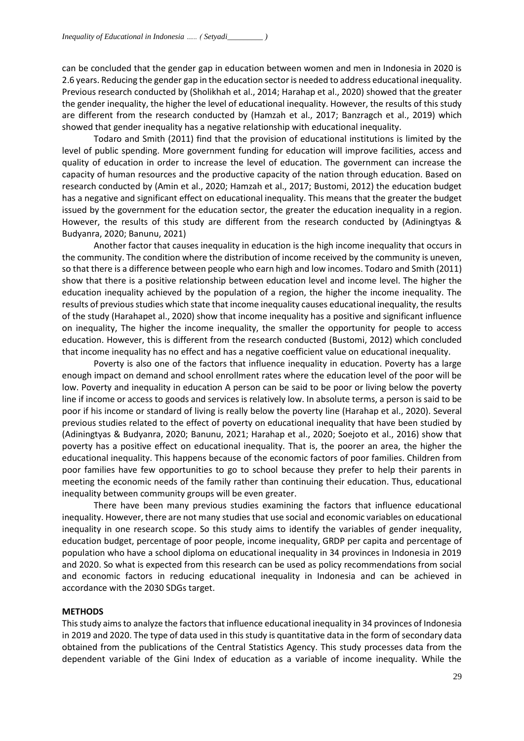can be concluded that the gender gap in education between women and men in Indonesia in 2020 is 2.6 years. Reducing the gender gap in the education sector is needed to address educational inequality. Previous research conducted by (Sholikhah et al., 2014; Harahap et al., 2020) showed that the greater the gender inequality, the higher the level of educational inequality. However, the results of this study are different from the research conducted by (Hamzah et al., 2017; Banzragch et al., 2019) which showed that gender inequality has a negative relationship with educational inequality.

Todaro and Smith (2011) find that the provision of educational institutions is limited by the level of public spending. More government funding for education will improve facilities, access and quality of education in order to increase the level of education. The government can increase the capacity of human resources and the productive capacity of the nation through education. Based on research conducted by (Amin et al., 2020; Hamzah et al., 2017; Bustomi, 2012) the education budget has a negative and significant effect on educational inequality. This means that the greater the budget issued by the government for the education sector, the greater the education inequality in a region. However, the results of this study are different from the research conducted by (Adiningtyas & Budyanra, 2020; Banunu, 2021)

Another factor that causes inequality in education is the high income inequality that occurs in the community. The condition where the distribution of income received by the community is uneven, so that there is a difference between people who earn high and low incomes. Todaro and Smith (2011) show that there is a positive relationship between education level and income level. The higher the education inequality achieved by the population of a region, the higher the income inequality. The results of previous studies which state that income inequality causes educational inequality, the results of the study (Harahapet al., 2020) show that income inequality has a positive and significant influence on inequality, The higher the income inequality, the smaller the opportunity for people to access education. However, this is different from the research conducted (Bustomi, 2012) which concluded that income inequality has no effect and has a negative coefficient value on educational inequality.

Poverty is also one of the factors that influence inequality in education. Poverty has a large enough impact on demand and school enrollment rates where the education level of the poor will be low. Poverty and inequality in education A person can be said to be poor or living below the poverty line if income or access to goods and services is relatively low. In absolute terms, a person is said to be poor if his income or standard of living is really below the poverty line (Harahap et al., 2020). Several previous studies related to the effect of poverty on educational inequality that have been studied by (Adiningtyas & Budyanra, 2020; Banunu, 2021; Harahap et al., 2020; Soejoto et al., 2016) show that poverty has a positive effect on educational inequality. That is, the poorer an area, the higher the educational inequality. This happens because of the economic factors of poor families. Children from poor families have few opportunities to go to school because they prefer to help their parents in meeting the economic needs of the family rather than continuing their education. Thus, educational inequality between community groups will be even greater.

There have been many previous studies examining the factors that influence educational inequality. However, there are not many studies that use social and economic variables on educational inequality in one research scope. So this study aims to identify the variables of gender inequality, education budget, percentage of poor people, income inequality, GRDP per capita and percentage of population who have a school diploma on educational inequality in 34 provinces in Indonesia in 2019 and 2020. So what is expected from this research can be used as policy recommendations from social and economic factors in reducing educational inequality in Indonesia and can be achieved in accordance with the 2030 SDGs target.

#### **METHODS**

This study aims to analyze the factors that influence educational inequality in 34 provinces of Indonesia in 2019 and 2020. The type of data used in this study is quantitative data in the form of secondary data obtained from the publications of the Central Statistics Agency. This study processes data from the dependent variable of the Gini Index of education as a variable of income inequality. While the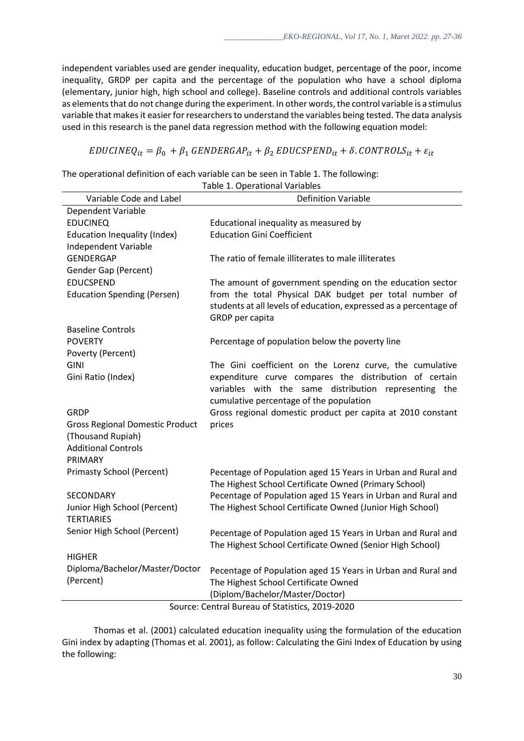independent variables used are gender inequality, education budget, percentage of the poor, income inequality, GRDP per capita and the percentage of the population who have a school diploma (elementary, junior high, high school and college). Baseline controls and additional controls variables as elements that do not change during the experiment. In other words, the control variable is a stimulus variable that makes it easier for researchers to understand the variables being tested. The data analysis used in this research is the panel data regression method with the following equation model:

# $EDUCINEQ_{it} = \beta_0 + \beta_1 GENDERGAP_{it} + \beta_2 EDUCSPEND_{it} + \delta$ . CONTROLS<sub>it</sub> +  $\varepsilon_{it}$

The operational definition of each variable can be seen in Table 1. The following:

| Variable Code and Label                         | <b>Definition Variable</b>                                                                                                                     |
|-------------------------------------------------|------------------------------------------------------------------------------------------------------------------------------------------------|
| Dependent Variable                              |                                                                                                                                                |
| <b>EDUCINEQ</b>                                 | Educational inequality as measured by                                                                                                          |
| Education Inequality (Index)                    | <b>Education Gini Coefficient</b>                                                                                                              |
| Independent Variable                            |                                                                                                                                                |
| <b>GENDERGAP</b>                                | The ratio of female illiterates to male illiterates                                                                                            |
| Gender Gap (Percent)                            |                                                                                                                                                |
| <b>EDUCSPEND</b>                                | The amount of government spending on the education sector                                                                                      |
| <b>Education Spending (Persen)</b>              | from the total Physical DAK budget per total number of<br>students at all levels of education, expressed as a percentage of<br>GRDP per capita |
| <b>Baseline Controls</b>                        |                                                                                                                                                |
| <b>POVERTY</b>                                  | Percentage of population below the poverty line                                                                                                |
| Poverty (Percent)                               |                                                                                                                                                |
| <b>GINI</b>                                     | The Gini coefficient on the Lorenz curve, the cumulative                                                                                       |
| Gini Ratio (Index)                              | expenditure curve compares the distribution of certain                                                                                         |
|                                                 | variables with the same distribution representing the                                                                                          |
|                                                 | cumulative percentage of the population                                                                                                        |
| <b>GRDP</b>                                     | Gross regional domestic product per capita at 2010 constant                                                                                    |
| <b>Gross Regional Domestic Product</b>          | prices                                                                                                                                         |
| (Thousand Rupiah)<br><b>Additional Controls</b> |                                                                                                                                                |
| PRIMARY                                         |                                                                                                                                                |
| <b>Primasty School (Percent)</b>                |                                                                                                                                                |
|                                                 | Pecentage of Population aged 15 Years in Urban and Rural and<br>The Highest School Certificate Owned (Primary School)                          |
| <b>SECONDARY</b>                                | Pecentage of Population aged 15 Years in Urban and Rural and                                                                                   |
| Junior High School (Percent)                    | The Highest School Certificate Owned (Junior High School)                                                                                      |
| <b>TERTIARIES</b>                               |                                                                                                                                                |
| Senior High School (Percent)                    | Pecentage of Population aged 15 Years in Urban and Rural and                                                                                   |
|                                                 | The Highest School Certificate Owned (Senior High School)                                                                                      |
| <b>HIGHER</b>                                   |                                                                                                                                                |
| Diploma/Bachelor/Master/Doctor                  | Pecentage of Population aged 15 Years in Urban and Rural and                                                                                   |
| (Percent)                                       | The Highest School Certificate Owned                                                                                                           |
|                                                 | (Diplom/Bachelor/Master/Doctor)                                                                                                                |
|                                                 |                                                                                                                                                |

Table 1. Operational Variables

Source: Central Bureau of Statistics, 2019-2020

Thomas et al. (2001) calculated education inequality using the formulation of the education Gini index by adapting (Thomas et al. 2001), as follow: Calculating the Gini Index of Education by using the following: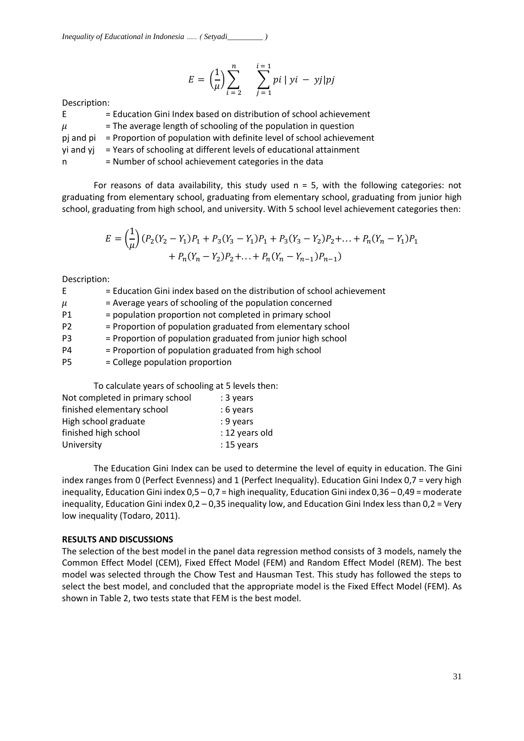$$
E = \left(\frac{1}{\mu}\right) \sum_{i=2}^{n} \sum_{j=1}^{i=1} p i |y i - y j| p j
$$

Description:

| E         | = Education Gini Index based on distribution of school achievement   |
|-----------|----------------------------------------------------------------------|
| $\mu$     | = The average length of schooling of the population in question      |
| pi and pi | = Proportion of population with definite level of school achievement |
| yi and yi | = Years of schooling at different levels of educational attainment   |
| n.        | = Number of school achievement categories in the data                |

For reasons of data availability, this study used  $n = 5$ , with the following categories: not graduating from elementary school, graduating from elementary school, graduating from junior high school, graduating from high school, and university. With 5 school level achievement categories then:

$$
E = \left(\frac{1}{\mu}\right)(P_2(Y_2 - Y_1)P_1 + P_3(Y_3 - Y_1)P_1 + P_3(Y_3 - Y_2)P_2 + \dots + P_n(Y_n - Y_1)P_1 + P_n(Y_n - Y_2)P_2 + \dots + P_n(Y_n - Y_{n-1})P_{n-1})
$$

Description:

| E              | = Education Gini index based on the distribution of school achievement |
|----------------|------------------------------------------------------------------------|
| $\mu$          | = Average years of schooling of the population concerned               |
| P <sub>1</sub> | = population proportion not completed in primary school                |
| P <sub>2</sub> | = Proportion of population graduated from elementary school            |
| P <sub>3</sub> | = Proportion of population graduated from junior high school           |
| P <sub>4</sub> | = Proportion of population graduated from high school                  |
| P <sub>5</sub> | = College population proportion                                        |
|                | To calculate years of schooling at 5 levels then:                      |

| Not completed in primary school | : 3 years      |
|---------------------------------|----------------|
| finished elementary school      | : 6 years      |
| High school graduate            | : 9 years      |
| finished high school            | : 12 years old |
| University                      | $: 15$ years   |
|                                 |                |

The Education Gini Index can be used to determine the level of equity in education. The Gini index ranges from 0 (Perfect Evenness) and 1 (Perfect Inequality). Education Gini Index 0,7 = very high inequality, Education Gini index 0,5 – 0,7 = high inequality, Education Gini index 0,36 – 0,49 = moderate inequality, Education Gini index 0,2 – 0,35 inequality low, and Education Gini Index less than 0,2 = Very low inequality (Todaro, 2011).

## **RESULTS AND DISCUSSIONS**

The selection of the best model in the panel data regression method consists of 3 models, namely the Common Effect Model (CEM), Fixed Effect Model (FEM) and Random Effect Model (REM). The best model was selected through the Chow Test and Hausman Test. This study has followed the steps to select the best model, and concluded that the appropriate model is the Fixed Effect Model (FEM). As shown in Table 2, two tests state that FEM is the best model.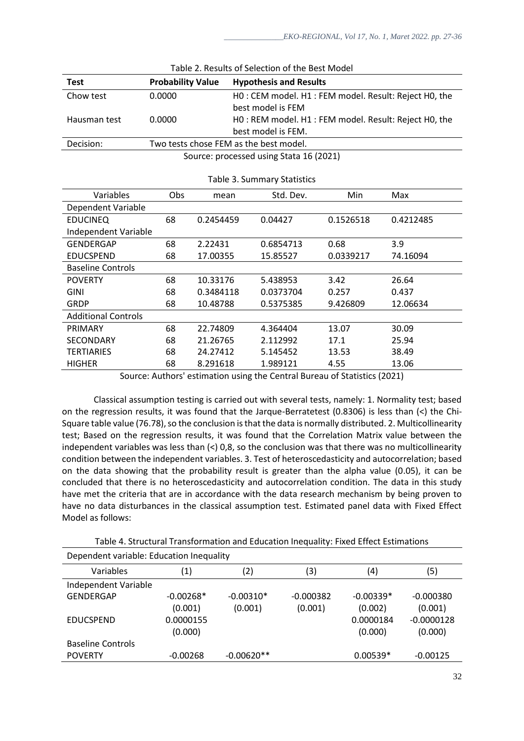| Chow test                  | 0.0000<br>HO: CEM model. H1: FEM model. Result: Reject H0, the |                                                      |                                         |           |           |  |  |
|----------------------------|----------------------------------------------------------------|------------------------------------------------------|-----------------------------------------|-----------|-----------|--|--|
|                            | best model is FEM                                              |                                                      |                                         |           |           |  |  |
| Hausman test               | 0.0000                                                         | HO: REM model. H1: FEM model. Result: Reject H0, the |                                         |           |           |  |  |
|                            |                                                                |                                                      | best model is FEM.                      |           |           |  |  |
| Decision:                  |                                                                | Two tests chose FEM as the best model.               |                                         |           |           |  |  |
|                            |                                                                |                                                      | Source: processed using Stata 16 (2021) |           |           |  |  |
|                            |                                                                |                                                      |                                         |           |           |  |  |
|                            |                                                                |                                                      | Table 3. Summary Statistics             |           |           |  |  |
| Variables                  | Obs.                                                           | mean                                                 | Std. Dev.                               | Min       | Max       |  |  |
| Dependent Variable         |                                                                |                                                      |                                         |           |           |  |  |
| <b>EDUCINEQ</b>            | 68                                                             | 0.2454459                                            | 0.04427                                 | 0.1526518 | 0.4212485 |  |  |
| Independent Variable       |                                                                |                                                      |                                         |           |           |  |  |
| GENDERGAP<br>68            |                                                                | 2.22431                                              | 0.6854713                               | 0.68      | 3.9       |  |  |
| <b>EDUCSPEND</b>           | 68                                                             | 17.00355                                             | 15.85527                                | 0.0339217 | 74.16094  |  |  |
| <b>Baseline Controls</b>   |                                                                |                                                      |                                         |           |           |  |  |
| <b>POVERTY</b>             | 68                                                             | 10.33176                                             | 5.438953                                | 3.42      | 26.64     |  |  |
| <b>GINI</b>                | 68                                                             | 0.3484118                                            | 0.0373704                               | 0.257     | 0.437     |  |  |
| <b>GRDP</b>                | 68                                                             | 10.48788                                             | 0.5375385                               | 9.426809  | 12.06634  |  |  |
| <b>Additional Controls</b> |                                                                |                                                      |                                         |           |           |  |  |
| PRIMARY                    | 68                                                             | 22.74809                                             | 4.364404                                | 13.07     | 30.09     |  |  |
| <b>SECONDARY</b>           | 68                                                             | 21.26765                                             | 2.112992                                | 17.1      | 25.94     |  |  |
| <b>TERTIARIES</b>          | 68                                                             | 24.27412                                             | 5.145452                                | 13.53     | 38.49     |  |  |
| <b>HIGHER</b>              | 68                                                             | 8.291618                                             | 1.989121                                | 4.55      | 13.06     |  |  |

| Table 2. Results of Selection of the Best Model |  |
|-------------------------------------------------|--|
|-------------------------------------------------|--|

**Test Probability Value Hypothesis and Results**

Source: Authors' estimation using the Central Bureau of Statistics (2021)

Classical assumption testing is carried out with several tests, namely: 1. Normality test; based on the regression results, it was found that the Jarque-Berratetest (0.8306) is less than (<) the Chi-Square table value (76.78), so the conclusion is that the data is normally distributed. 2. Multicollinearity test; Based on the regression results, it was found that the Correlation Matrix value between the independent variables was less than (<) 0,8, so the conclusion was that there was no multicollinearity condition between the independent variables. 3. Test of heteroscedasticity and autocorrelation; based on the data showing that the probability result is greater than the alpha value (0.05), it can be concluded that there is no heteroscedasticity and autocorrelation condition. The data in this study have met the criteria that are in accordance with the data research mechanism by being proven to have no data disturbances in the classical assumption test. Estimated panel data with Fixed Effect Model as follows:

Table 4. Structural Transformation and Education Inequality: Fixed Effect Estimations

| Dependent variable: Education Inequality |                   |              |             |             |              |
|------------------------------------------|-------------------|--------------|-------------|-------------|--------------|
| Variables                                | $\left( 1\right)$ | (2)          | (3)         | (4)         | (5)          |
| Independent Variable                     |                   |              |             |             |              |
| <b>GENDERGAP</b>                         | $-0.00268*$       | $-0.00310*$  | $-0.000382$ | $-0.00339*$ | $-0.000380$  |
|                                          | (0.001)           | (0.001)      | (0.001)     | (0.002)     | (0.001)      |
| <b>EDUCSPEND</b>                         | 0.0000155         |              |             | 0.0000184   | $-0.0000128$ |
|                                          | (0.000)           |              |             | (0.000)     | (0.000)      |
| <b>Baseline Controls</b>                 |                   |              |             |             |              |
| <b>POVERTY</b>                           | $-0.00268$        | $-0.00620**$ |             | $0.00539*$  | $-0.00125$   |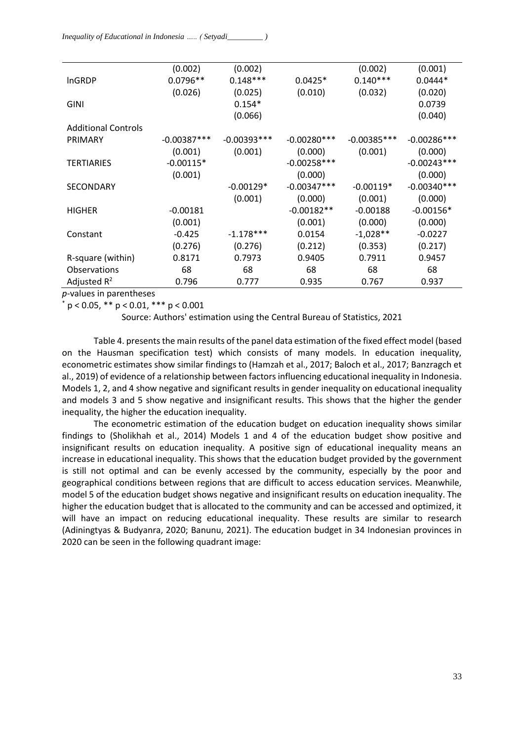|                            | (0.002)       | (0.002)       |               | (0.002)       | (0.001)       |
|----------------------------|---------------|---------------|---------------|---------------|---------------|
| <b>InGRDP</b>              | $0.0796**$    | $0.148***$    | $0.0425*$     | $0.140***$    | $0.0444*$     |
|                            | (0.026)       | (0.025)       | (0.010)       | (0.032)       | (0.020)       |
| <b>GINI</b>                |               | $0.154*$      |               |               | 0.0739        |
|                            |               | (0.066)       |               |               | (0.040)       |
| <b>Additional Controls</b> |               |               |               |               |               |
| <b>PRIMARY</b>             | $-0.00387***$ | $-0.00393***$ | $-0.00280***$ | $-0.00385***$ | $-0.00286***$ |
|                            | (0.001)       | (0.001)       | (0.000)       | (0.001)       | (0.000)       |
| <b>TERTIARIES</b>          | $-0.00115*$   |               | $-0.00258***$ |               | $-0.00243***$ |
|                            | (0.001)       |               | (0.000)       |               | (0.000)       |
| <b>SECONDARY</b>           |               | $-0.00129*$   | $-0.00347***$ | $-0.00119*$   | $-0.00340***$ |
|                            |               | (0.001)       | (0.000)       | (0.001)       | (0.000)       |
| <b>HIGHER</b>              | $-0.00181$    |               | $-0.00182**$  | $-0.00188$    | $-0.00156*$   |
|                            | (0.001)       |               | (0.001)       | (0.000)       | (0.000)       |
| Constant                   | $-0.425$      | $-1.178***$   | 0.0154        | $-1,028**$    | $-0.0227$     |
|                            | (0.276)       | (0.276)       | (0.212)       | (0.353)       | (0.217)       |
| R-square (within)          | 0.8171        | 0.7973        | 0.9405        | 0.7911        | 0.9457        |
| Observations               | 68            | 68            | 68            | 68            | 68            |
| Adjusted $R^2$             | 0.796         | 0.777         | 0.935         | 0.767         | 0.937         |

*p*-values in parentheses

 $p < 0.05$ , \*\*  $p < 0.01$ , \*\*\*  $p < 0.001$ 

Source: Authors' estimation using the Central Bureau of Statistics, 2021

Table 4. presents the main results of the panel data estimation of the fixed effect model (based on the Hausman specification test) which consists of many models. In education inequality, econometric estimates show similar findings to (Hamzah et al., 2017; Baloch et al., 2017; Banzragch et al., 2019) of evidence of a relationship between factors influencing educational inequality in Indonesia. Models 1, 2, and 4 show negative and significant results in gender inequality on educational inequality and models 3 and 5 show negative and insignificant results. This shows that the higher the gender inequality, the higher the education inequality.

The econometric estimation of the education budget on education inequality shows similar findings to (Sholikhah et al., 2014) Models 1 and 4 of the education budget show positive and insignificant results on education inequality. A positive sign of educational inequality means an increase in educational inequality. This shows that the education budget provided by the government is still not optimal and can be evenly accessed by the community, especially by the poor and geographical conditions between regions that are difficult to access education services. Meanwhile, model 5 of the education budget shows negative and insignificant results on education inequality. The higher the education budget that is allocated to the community and can be accessed and optimized, it will have an impact on reducing educational inequality. These results are similar to research (Adiningtyas & Budyanra, 2020; Banunu, 2021). The education budget in 34 Indonesian provinces in 2020 can be seen in the following quadrant image: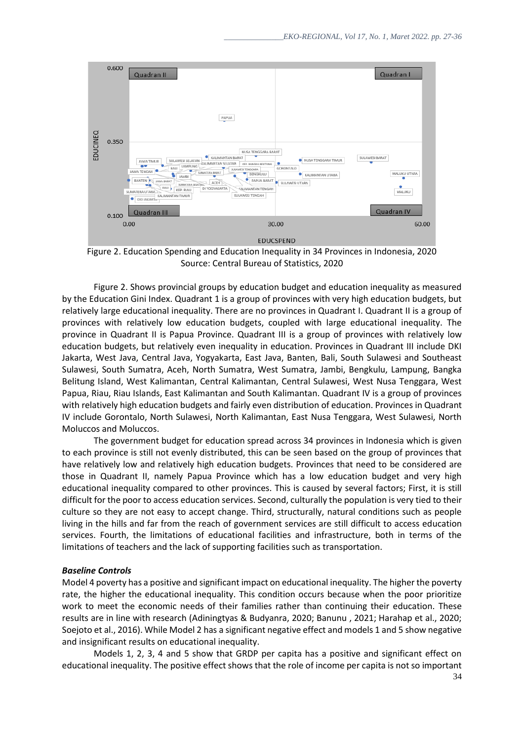

Figure 2. Education Spending and Education Inequality in 34 Provinces in Indonesia, 2020 Source: Central Bureau of Statistics, 2020

Figure 2. Shows provincial groups by education budget and education inequality as measured by the Education Gini Index. Quadrant 1 is a group of provinces with very high education budgets, but relatively large educational inequality. There are no provinces in Quadrant I. Quadrant II is a group of provinces with relatively low education budgets, coupled with large educational inequality. The province in Quadrant II is Papua Province. Quadrant III is a group of provinces with relatively low education budgets, but relatively even inequality in education. Provinces in Quadrant III include DKI Jakarta, West Java, Central Java, Yogyakarta, East Java, Banten, Bali, South Sulawesi and Southeast Sulawesi, South Sumatra, Aceh, North Sumatra, West Sumatra, Jambi, Bengkulu, Lampung, Bangka Belitung Island, West Kalimantan, Central Kalimantan, Central Sulawesi, West Nusa Tenggara, West Papua, Riau, Riau Islands, East Kalimantan and South Kalimantan. Quadrant IV is a group of provinces with relatively high education budgets and fairly even distribution of education. Provinces in Quadrant IV include Gorontalo, North Sulawesi, North Kalimantan, East Nusa Tenggara, West Sulawesi, North Moluccos and Moluccos.

The government budget for education spread across 34 provinces in Indonesia which is given to each province is still not evenly distributed, this can be seen based on the group of provinces that have relatively low and relatively high education budgets. Provinces that need to be considered are those in Quadrant II, namely Papua Province which has a low education budget and very high educational inequality compared to other provinces. This is caused by several factors; First, it is still difficult for the poor to access education services. Second, culturally the population is very tied to their culture so they are not easy to accept change. Third, structurally, natural conditions such as people living in the hills and far from the reach of government services are still difficult to access education services. Fourth, the limitations of educational facilities and infrastructure, both in terms of the limitations of teachers and the lack of supporting facilities such as transportation.

#### *Baseline Controls*

Model 4 poverty has a positive and significant impact on educational inequality. The higher the poverty rate, the higher the educational inequality. This condition occurs because when the poor prioritize work to meet the economic needs of their families rather than continuing their education. These results are in line with research (Adiningtyas & Budyanra, 2020; Banunu , 2021; Harahap et al., 2020; Soejoto et al., 2016). While Model 2 has a significant negative effect and models 1 and 5 show negative and insignificant results on educational inequality.

34 Models 1, 2, 3, 4 and 5 show that GRDP per capita has a positive and significant effect on educational inequality. The positive effect shows that the role of income per capita is not so important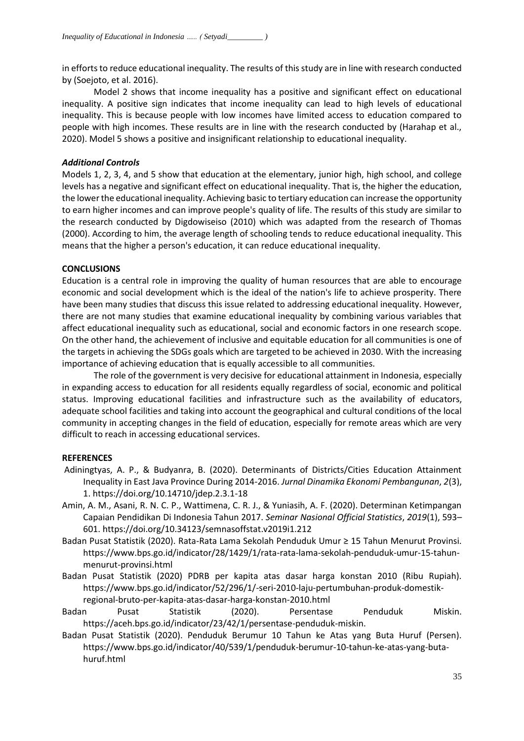in efforts to reduce educational inequality. The results of this study are in line with research conducted by (Soejoto, et al. 2016).

Model 2 shows that income inequality has a positive and significant effect on educational inequality. A positive sign indicates that income inequality can lead to high levels of educational inequality. This is because people with low incomes have limited access to education compared to people with high incomes. These results are in line with the research conducted by (Harahap et al., 2020). Model 5 shows a positive and insignificant relationship to educational inequality.

# *Additional Controls*

Models 1, 2, 3, 4, and 5 show that education at the elementary, junior high, high school, and college levels has a negative and significant effect on educational inequality. That is, the higher the education, the lower the educational inequality. Achieving basic to tertiary education can increase the opportunity to earn higher incomes and can improve people's quality of life. The results of this study are similar to the research conducted by Digdowiseiso (2010) which was adapted from the research of Thomas (2000). According to him, the average length of schooling tends to reduce educational inequality. This means that the higher a person's education, it can reduce educational inequality.

## **CONCLUSIONS**

Education is a central role in improving the quality of human resources that are able to encourage economic and social development which is the ideal of the nation's life to achieve prosperity. There have been many studies that discuss this issue related to addressing educational inequality. However, there are not many studies that examine educational inequality by combining various variables that affect educational inequality such as educational, social and economic factors in one research scope. On the other hand, the achievement of inclusive and equitable education for all communities is one of the targets in achieving the SDGs goals which are targeted to be achieved in 2030. With the increasing importance of achieving education that is equally accessible to all communities.

The role of the government is very decisive for educational attainment in Indonesia, especially in expanding access to education for all residents equally regardless of social, economic and political status. Improving educational facilities and infrastructure such as the availability of educators, adequate school facilities and taking into account the geographical and cultural conditions of the local community in accepting changes in the field of education, especially for remote areas which are very difficult to reach in accessing educational services.

## **REFERENCES**

- Adiningtyas, A. P., & Budyanra, B. (2020). Determinants of Districts/Cities Education Attainment Inequality in East Java Province During 2014-2016. *Jurnal Dinamika Ekonomi Pembangunan*, *2*(3), 1. https://doi.org/10.14710/jdep.2.3.1-18
- Amin, A. M., Asani, R. N. C. P., Wattimena, C. R. J., & Yuniasih, A. F. (2020). Determinan Ketimpangan Capaian Pendidikan Di Indonesia Tahun 2017. *Seminar Nasional Official Statistics*, *2019*(1), 593– 601. https://doi.org/10.34123/semnasoffstat.v2019i1.212
- Badan Pusat Statistik (2020). Rata-Rata Lama Sekolah Penduduk Umur ≥ 15 Tahun Menurut Provinsi. https://www.bps.go.id/indicator/28/1429/1/rata-rata-lama-sekolah-penduduk-umur-15-tahunmenurut-provinsi.html
- Badan Pusat Statistik (2020) PDRB per kapita atas dasar harga konstan 2010 (Ribu Rupiah). https://www.bps.go.id/indicator/52/296/1/-seri-2010-laju-pertumbuhan-produk-domestikregional-bruto-per-kapita-atas-dasar-harga-konstan-2010.html
- Badan Pusat Statistik (2020). Persentase Penduduk Miskin. https://aceh.bps.go.id/indicator/23/42/1/persentase-penduduk-miskin.
- Badan Pusat Statistik (2020). Penduduk Berumur 10 Tahun ke Atas yang Buta Huruf (Persen). https://www.bps.go.id/indicator/40/539/1/penduduk-berumur-10-tahun-ke-atas-yang-butahuruf.html